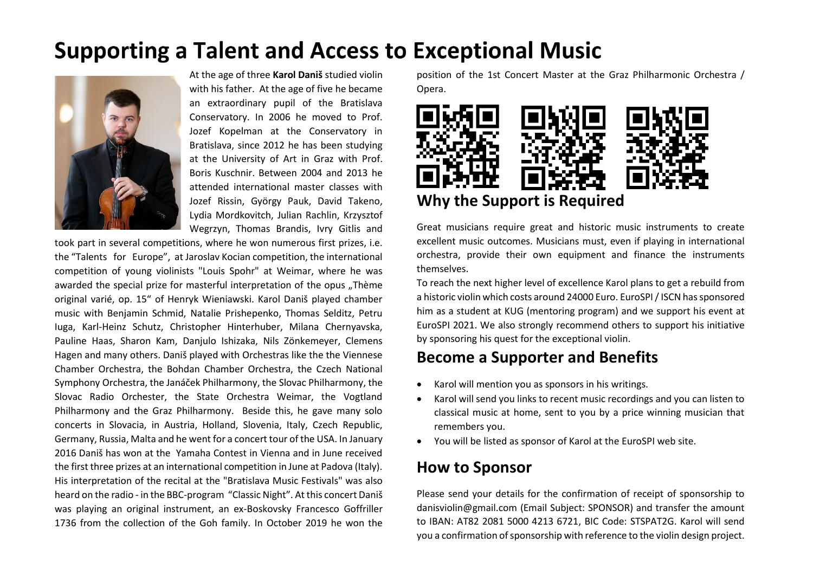## **Supporting a Talent and Access to Exceptional Music**



At the age of three **Karol Daniš** studied violin with his father. At the age of five he became an extraordinary pupil of the Bratislava Conservatory. In 2006 he moved to Prof. Jozef Kopelman at the Conservatory in Bratislava, since 2012 he has been studying at the University of Art in Graz with Prof. Boris Kuschnir. Between 2004 and 2013 he attended international master classes with Jozef Rissin, György Pauk, David Takeno, Lydia Mordkovitch, Julian Rachlin, Krzysztof Wegrzyn, Thomas Brandis, Ivry Gitlis and

took part in several competitions, where he won numerous first prizes, i.e. the "Talents for Europe", at Jaroslav Kocian competition, the international competition of young violinists "Louis Spohr" at Weimar, where he was awarded the special prize for masterful interpretation of the opus ..Thème original varié, op. 15" of Henryk Wieniawski. Karol Daniš played chamber music with Benjamin Schmid, Natalie Prishepenko, Thomas Selditz, Petru Iuga, Karl-Heinz Schutz, Christopher Hinterhuber, Milana Chernyavska, Pauline Haas, Sharon Kam, Danjulo Ishizaka, Nils Zönkemeyer, Clemens Hagen and many others. Daniš played with Orchestras like the the Viennese Chamber Orchestra, the Bohdan Chamber Orchestra, the Czech National Symphony Orchestra, the Janáček Philharmony, the Slovac Philharmony, the Slovac Radio Orchester, the State Orchestra Weimar, the Vogtland Philharmony and the Graz Philharmony. Beside this, he gave many solo concerts in Slovacia, in Austria, Holland, Slovenia, Italy, Czech Republic, Germany, Russia, Malta and he went for a concert tour of the USA. In January 2016 Daniš has won at the Yamaha Contest in Vienna and in June received the first three prizes at an international competition in June at Padova (Italy). His interpretation of the recital at the "Bratislava Music Festivals" was also heard on the radio - in the BBC-program "Classic Night". At this concert Daniš was playing an original instrument, an ex-Boskovsky Francesco Goffriller 1736 from the collection of the Goh family. In October 2019 he won the position of the 1st Concert Master at the Graz Philharmonic Orchestra / Opera.



Great musicians require great and historic music instruments to create excellent music outcomes. Musicians must, even if playing in international orchestra, provide their own equipment and finance the instruments themselves.

To reach the next higher level of excellence Karol plans to get a rebuild from a historic violin which costs around 24000 Euro. EuroSPI / ISCN has sponsored him as a student at KUG (mentoring program) and we support his event at EuroSPI 2021. We also strongly recommend others to support his initiative by sponsoring his quest for the exceptional violin.

### **Become a Supporter and Benefits**

- Karol will mention you as sponsors in his writings.
- Karol will send you links to recent music recordings and you can listen to classical music at home, sent to you by a price winning musician that remembers you.
- You will be listed as sponsor of Karol at the EuroSPI web site.

### **How to Sponsor**

Please send your details for the confirmation of receipt of sponsorship to danisviolin@gmail.com (Email Subject: SPONSOR) and transfer the amount to IBAN: AT82 2081 5000 4213 6721, BIC Code: STSPAT2G. Karol will send you a confirmation of sponsorship with reference to the violin design project.